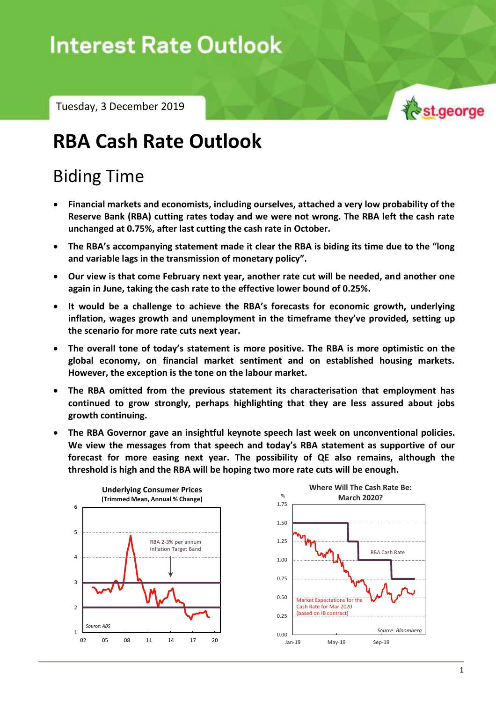# **Interest Rate Outlook**

Tuesday, 3 December 2019



## **RBA Cash Rate Outlook**

### Biding Time

- **Financial markets and economists, including ourselves, attached a very low probability of the Reserve Bank (RBA) cutting rates today and we were not wrong. The RBA left the cash rate unchanged at 0.75%, after last cutting the cash rate in October.**
- **The RBA's accompanying statement made it clear the RBA is biding its time due to the "long and variable lags in the transmission of monetary policy".**
- **Our view is that come February next year, another rate cut will be needed, and another one again in June, taking the cash rate to the effective lower bound of 0.25%.**
- **It would be a challenge to achieve the RBA's forecasts for economic growth, underlying inflation, wages growth and unemployment in the timeframe they've provided, setting up the scenario for more rate cuts next year.**
- **The overall tone of today's statement is more positive. The RBA is more optimistic on the global economy, on financial market sentiment and on established housing markets. However, the exception is the tone on the labour market.**
- **The RBA omitted from the previous statement its characterisation that employment has continued to grow strongly, perhaps highlighting that they are less assured about jobs growth continuing.**
- **The RBA Governor gave an insightful keynote speech last week on unconventional policies. We view the messages from that speech and today's RBA statement as supportive of our forecast for more easing next year. The possibility of QE also remains, although the threshold is high and the RBA will be hoping two more rate cuts will be enough.**

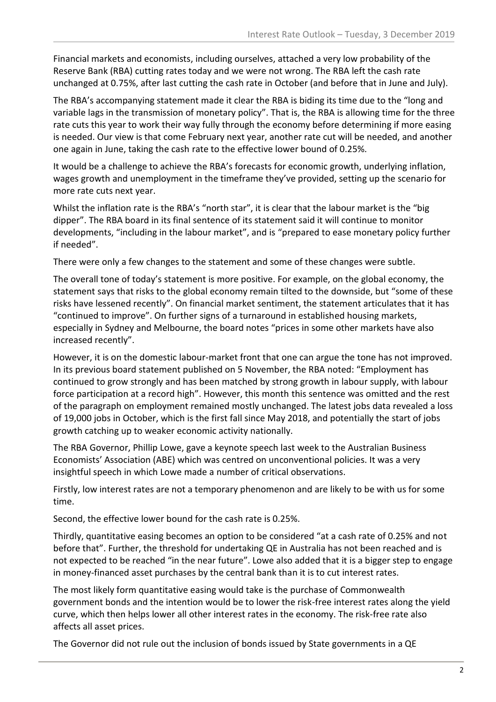Financial markets and economists, including ourselves, attached a very low probability of the Reserve Bank (RBA) cutting rates today and we were not wrong. The RBA left the cash rate unchanged at 0.75%, after last cutting the cash rate in October (and before that in June and July).

The RBA's accompanying statement made it clear the RBA is biding its time due to the "long and variable lags in the transmission of monetary policy". That is, the RBA is allowing time for the three rate cuts this year to work their way fully through the economy before determining if more easing is needed. Our view is that come February next year, another rate cut will be needed, and another one again in June, taking the cash rate to the effective lower bound of 0.25%.

It would be a challenge to achieve the RBA's forecasts for economic growth, underlying inflation, wages growth and unemployment in the timeframe they've provided, setting up the scenario for more rate cuts next year.

Whilst the inflation rate is the RBA's "north star", it is clear that the labour market is the "big dipper". The RBA board in its final sentence of its statement said it will continue to monitor developments, "including in the labour market", and is "prepared to ease monetary policy further if needed".

There were only a few changes to the statement and some of these changes were subtle.

The overall tone of today's statement is more positive. For example, on the global economy, the statement says that risks to the global economy remain tilted to the downside, but "some of these risks have lessened recently". On financial market sentiment, the statement articulates that it has "continued to improve". On further signs of a turnaround in established housing markets, especially in Sydney and Melbourne, the board notes "prices in some other markets have also increased recently".

However, it is on the domestic labour-market front that one can argue the tone has not improved. In its previous board statement published on 5 November, the RBA noted: "Employment has continued to grow strongly and has been matched by strong growth in labour supply, with labour force participation at a record high". However, this month this sentence was omitted and the rest of the paragraph on employment remained mostly unchanged. The latest jobs data revealed a loss of 19,000 jobs in October, which is the first fall since May 2018, and potentially the start of jobs growth catching up to weaker economic activity nationally.

The RBA Governor, Phillip Lowe, gave a keynote speech last week to the Australian Business Economists' Association (ABE) which was centred on unconventional policies. It was a very insightful speech in which Lowe made a number of critical observations.

Firstly, low interest rates are not a temporary phenomenon and are likely to be with us for some time.

Second, the effective lower bound for the cash rate is 0.25%.

Thirdly, quantitative easing becomes an option to be considered "at a cash rate of 0.25% and not before that". Further, the threshold for undertaking QE in Australia has not been reached and is not expected to be reached "in the near future". Lowe also added that it is a bigger step to engage in money-financed asset purchases by the central bank than it is to cut interest rates.

The most likely form quantitative easing would take is the purchase of Commonwealth government bonds and the intention would be to lower the risk-free interest rates along the yield curve, which then helps lower all other interest rates in the economy. The risk-free rate also affects all asset prices.

The Governor did not rule out the inclusion of bonds issued by State governments in a QE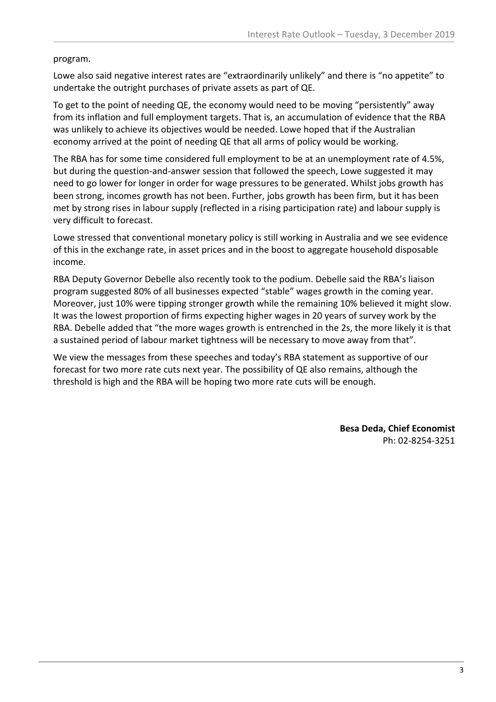program.

Lowe also said negative interest rates are "extraordinarily unlikely" and there is "no appetite" to undertake the outright purchases of private assets as part of QE.

To get to the point of needing QE, the economy would need to be moving "persistently" away from its inflation and full employment targets. That is, an accumulation of evidence that the RBA was unlikely to achieve its objectives would be needed. Lowe hoped that if the Australian economy arrived at the point of needing QE that all arms of policy would be working.

The RBA has for some time considered full employment to be at an unemployment rate of 4.5%, but during the question-and-answer session that followed the speech, Lowe suggested it may need to go lower for longer in order for wage pressures to be generated. Whilst jobs growth has been strong, incomes growth has not been. Further, jobs growth has been firm, but it has been met by strong rises in labour supply (reflected in a rising participation rate) and labour supply is very difficult to forecast.

Lowe stressed that conventional monetary policy is still working in Australia and we see evidence of this in the exchange rate, in asset prices and in the boost to aggregate household disposable income.

RBA Deputy Governor Debelle also recently took to the podium. Debelle said the RBA's liaison program suggested 80% of all businesses expected "stable" wages growth in the coming year. Moreover, just 10% were tipping stronger growth while the remaining 10% believed it might slow. It was the lowest proportion of firms expecting higher wages in 20 years of survey work by the RBA. Debelle added that "the more wages growth is entrenched in the 2s, the more likely it is that a sustained period of labour market tightness will be necessary to move away from that".

We view the messages from these speeches and today's RBA statement as supportive of our forecast for two more rate cuts next year. The possibility of QE also remains, although the threshold is high and the RBA will be hoping two more rate cuts will be enough.

> **Besa Deda, Chief Economist** Ph: 02-8254-3251